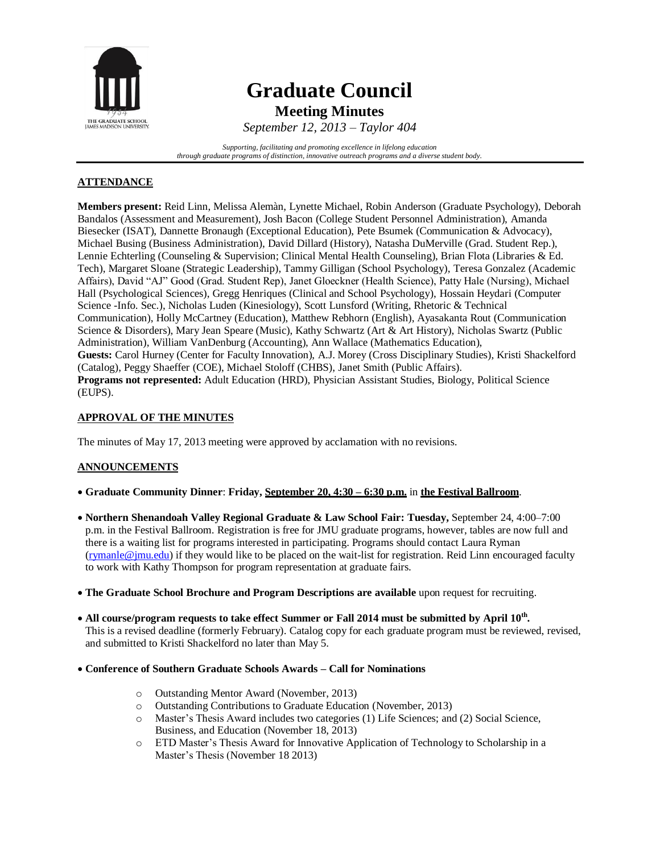

# **Graduate Council Meeting Minutes**

*September 12, 2013 – Taylor 404*

*Supporting, facilitating and promoting excellence in lifelong education through graduate programs of distinction, innovative outreach programs and a diverse student body.*

# **ATTENDANCE**

**Members present:** Reid Linn, Melissa Alemàn, Lynette Michael, Robin Anderson (Graduate Psychology), Deborah Bandalos (Assessment and Measurement), Josh Bacon (College Student Personnel Administration), Amanda Biesecker (ISAT), Dannette Bronaugh (Exceptional Education), Pete Bsumek (Communication & Advocacy), Michael Busing (Business Administration), David Dillard (History), Natasha DuMerville (Grad. Student Rep.), Lennie Echterling (Counseling & Supervision; Clinical Mental Health Counseling), Brian Flota (Libraries & Ed. Tech), Margaret Sloane (Strategic Leadership), Tammy Gilligan (School Psychology), Teresa Gonzalez (Academic Affairs), David "AJ" Good (Grad. Student Rep), Janet Gloeckner (Health Science), Patty Hale (Nursing), Michael Hall (Psychological Sciences), Gregg Henriques (Clinical and School Psychology), Hossain Heydari (Computer Science -Info. Sec.), Nicholas Luden (Kinesiology), Scott Lunsford (Writing, Rhetoric & Technical Communication), Holly McCartney (Education), Matthew Rebhorn (English), Ayasakanta Rout (Communication Science & Disorders), Mary Jean Speare (Music), Kathy Schwartz (Art & Art History), Nicholas Swartz (Public Administration), William VanDenburg (Accounting), Ann Wallace (Mathematics Education), **Guests:** Carol Hurney (Center for Faculty Innovation), A.J. Morey (Cross Disciplinary Studies), Kristi Shackelford (Catalog), Peggy Shaeffer (COE), Michael Stoloff (CHBS), Janet Smith (Public Affairs). **Programs not represented:** Adult Education (HRD), Physician Assistant Studies, Biology, Political Science (EUPS).

## **APPROVAL OF THE MINUTES**

The minutes of May 17, 2013 meeting were approved by acclamation with no revisions.

# **ANNOUNCEMENTS**

- **Graduate Community Dinner**: **Friday, September 20, 4:30 – 6:30 p.m.** in **the Festival Ballroom**.
- **Northern Shenandoah Valley Regional Graduate & Law School Fair: Tuesday,** September 24, 4:00–7:00 p.m. in the Festival Ballroom. Registration is free for JMU graduate programs, however, tables are now full and there is a waiting list for programs interested in participating. Programs should contact Laura Ryman  $(rvmanle@jmu.edu)$  if they would like to be placed on the wait-list for registration. Reid Linn encouraged faculty to work with Kathy Thompson for program representation at graduate fairs.
- **The Graduate School Brochure and Program Descriptions are available** upon request for recruiting.
- **All course/program requests to take effect Summer or Fall 2014 must be submitted by April 10th .** This is a revised deadline (formerly February). Catalog copy for each graduate program must be reviewed, revised, and submitted to Kristi Shackelford no later than May 5.
- **Conference of Southern Graduate Schools Awards – Call for Nominations**
	- o Outstanding Mentor Award (November, 2013)
	- o Outstanding Contributions to Graduate Education (November, 2013)
	- o Master's Thesis Award includes two categories (1) Life Sciences; and (2) Social Science, Business, and Education (November 18, 2013)
	- o ETD Master's Thesis Award for Innovative Application of Technology to Scholarship in a Master's Thesis (November 18 2013)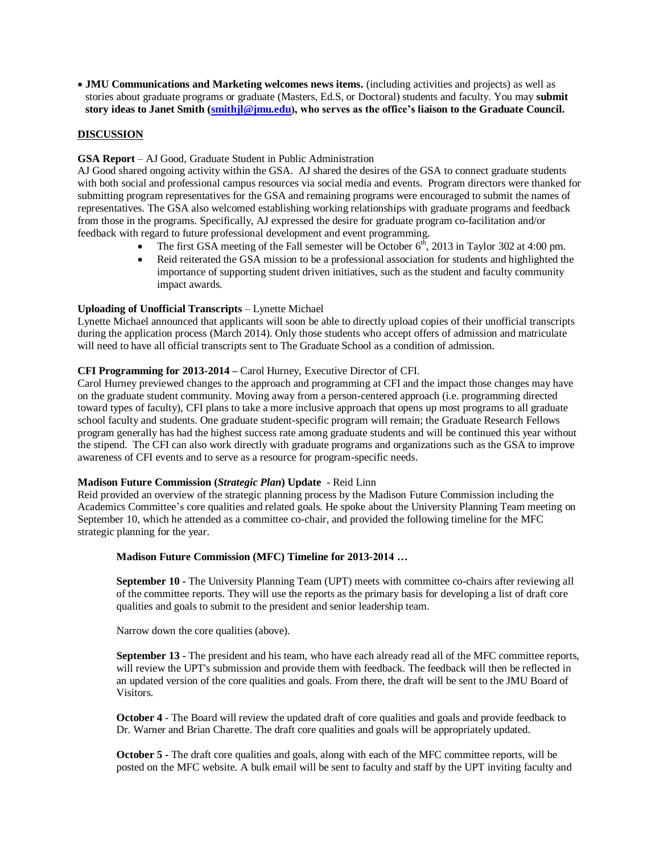**JMU Communications and Marketing welcomes news items.** (including activities and projects) as well as stories about graduate programs or graduate (Masters, Ed.S, or Doctoral) students and faculty. You may **submit story ideas to Janet Smith [\(smithjl@jmu.edu\)](file:///C:/Users/AJ/Downloads/smithjl@jmu.edu), who serves as the office's liaison to the Graduate Council.**

#### **DISCUSSION**

## **GSA Report** – AJ Good, Graduate Student in Public Administration

AJ Good shared ongoing activity within the GSA. AJ shared the desires of the GSA to connect graduate students with both social and professional campus resources via social media and events. Program directors were thanked for submitting program representatives for the GSA and remaining programs were encouraged to submit the names of representatives. The GSA also welcomed establishing working relationships with graduate programs and feedback from those in the programs. Specifically, AJ expressed the desire for graduate program co-facilitation and/or feedback with regard to future professional development and event programming.

- The first GSA meeting of the Fall semester will be October  $6<sup>th</sup>$ , 2013 in Taylor 302 at 4:00 pm.
- Reid reiterated the GSA mission to be a professional association for students and highlighted the importance of supporting student driven initiatives, such as the student and faculty community impact awards.

#### **Uploading of Unofficial Transcripts** – Lynette Michael

Lynette Michael announced that applicants will soon be able to directly upload copies of their unofficial transcripts during the application process (March 2014). Only those students who accept offers of admission and matriculate will need to have all official transcripts sent to The Graduate School as a condition of admission.

#### **CFI Programming for 2013-2014 –** Carol Hurney, Executive Director of CFI.

Carol Hurney previewed changes to the approach and programming at CFI and the impact those changes may have on the graduate student community. Moving away from a person-centered approach (i.e. programming directed toward types of faculty), CFI plans to take a more inclusive approach that opens up most programs to all graduate school faculty and students. One graduate student-specific program will remain; the Graduate Research Fellows program generally has had the highest success rate among graduate students and will be continued this year without the stipend. The CFI can also work directly with graduate programs and organizations such as the GSA to improve awareness of CFI events and to serve as a resource for program-specific needs.

#### **Madison Future Commission (***Strategic Plan***) Update** - Reid Linn

Reid provided an overview of the strategic planning process by the Madison Future Commission including the Academics Committee's core qualities and related goals. He spoke about the University Planning Team meeting on September 10, which he attended as a committee co-chair, and provided the following timeline for the MFC strategic planning for the year.

## **Madison Future Commission (MFC) Timeline for 2013-2014 …**

**September 10 -** The University Planning Team (UPT) meets with committee co-chairs after reviewing all of the committee reports. They will use the reports as the primary basis for developing a list of draft core qualities and goals to submit to the president and senior leadership team.

Narrow down the core qualities (above).

**September 13 -** The president and his team, who have each already read all of the MFC committee reports, will review the UPT's submission and provide them with feedback. The feedback will then be reflected in an updated version of the core qualities and goals. From there, the draft will be sent to the JMU Board of Visitors.

**October 4 -** The Board will review the updated draft of core qualities and goals and provide feedback to Dr. Warner and Brian Charette. The draft core qualities and goals will be appropriately updated.

**October 5** - The draft core qualities and goals, along with each of the MFC committee reports, will be posted on the MFC website. A bulk email will be sent to faculty and staff by the UPT inviting faculty and